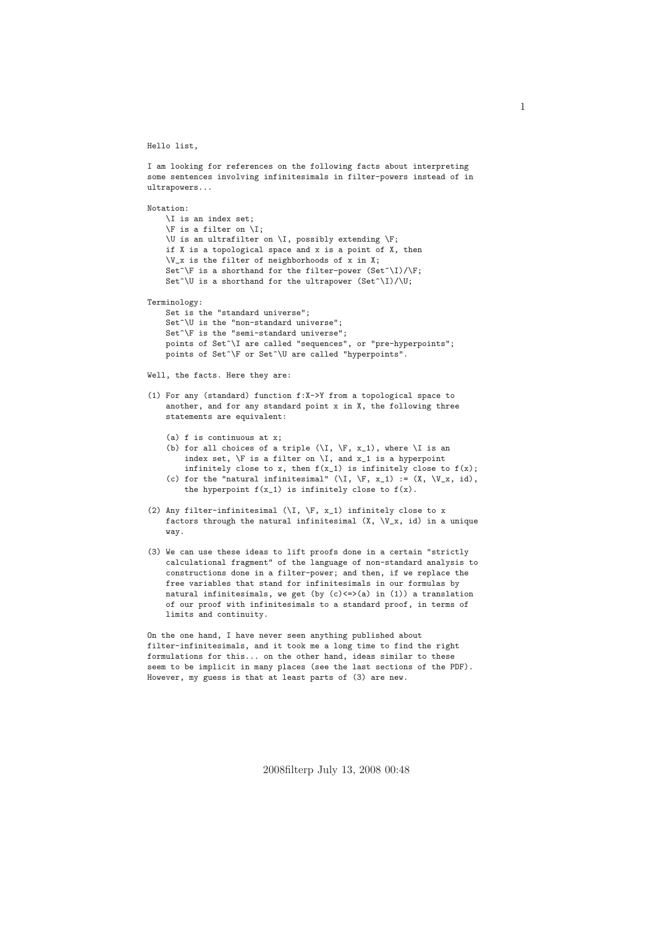Hello list,

I am looking for references on the following facts about interpreting some sentences involving infinitesimals in filter-powers instead of in ultrapowers...

```
Notation:
    \I is an index set;
    \F is a filter on \I;
    \overline{\triangledown} is an ultrafilter on \I, possibly extending \F;
    if X is a topological space and x is a point of X, then
    V_x is the filter of neighborhoods of x in X;
    Set^\F is a shorthand for the filter-power (Set^\I)/\F;
    Set^\U is a shorthand for the ultrapower (Set^{\wedge}I)/\Upsilon;
Terminology:
    Set is the "standard universe";
    Set<sup>^</sup>\U is the "non-standard universe";
```

```
Set<sup>^</sup>\F is the "semi-standard universe";
points of Set^\I are called "sequences", or "pre-hyperpoints";
.<br>points of Set^\F or Set^\U are called "hyperpoints".
```
Well, the facts. Here they are:

- (1) For any (standard) function f:X->Y from a topological space to another, and for any standard point x in X, the following three statements are equivalent:
	- (a) f is continuous at x;
	- (b) for all choices of a triple  $(\I, \F, x_1)$ , where  $\I$  is an index set,  $\F$  is a filter on  $\I$ , and  $x_1$  is a hyperpoint infinitely close to x, then  $f(x_1)$  is infinitely close to  $f(x)$ ; (c) for the "natural infinitesimal"  $(\I, \I, x_1) := (X, \I, x_1, id)$ ,
	- the hyperpoint  $f(x_1)$  is infinitely close to  $f(x)$ .
- (2) Any filter-infinitesimal  $(\I, \F, x_1)$  infinitely close to x factors through the natural infinitesimal  $(X, \vee_x, id)$  in a unique way.
- (3) We can use these ideas to lift proofs done in a certain "strictly calculational fragment" of the language of non-standard analysis to constructions done in a filter-power; and then, if we replace the free variables that stand for infinitesimals in our formulas by natural infinitesimals, we get (by  $(c) \leq > (a)$  in  $(1)$ ) a translation of our proof with infinitesimals to a standard proof, in terms of limits and continuity.

On the one hand, I have never seen anything published about filter-infinitesimals, and it took me a long time to find the right formulations for this... on the other hand, ideas similar to these seem to be implicit in many places (see the last sections of the PDF). However, my guess is that at least parts of (3) are new.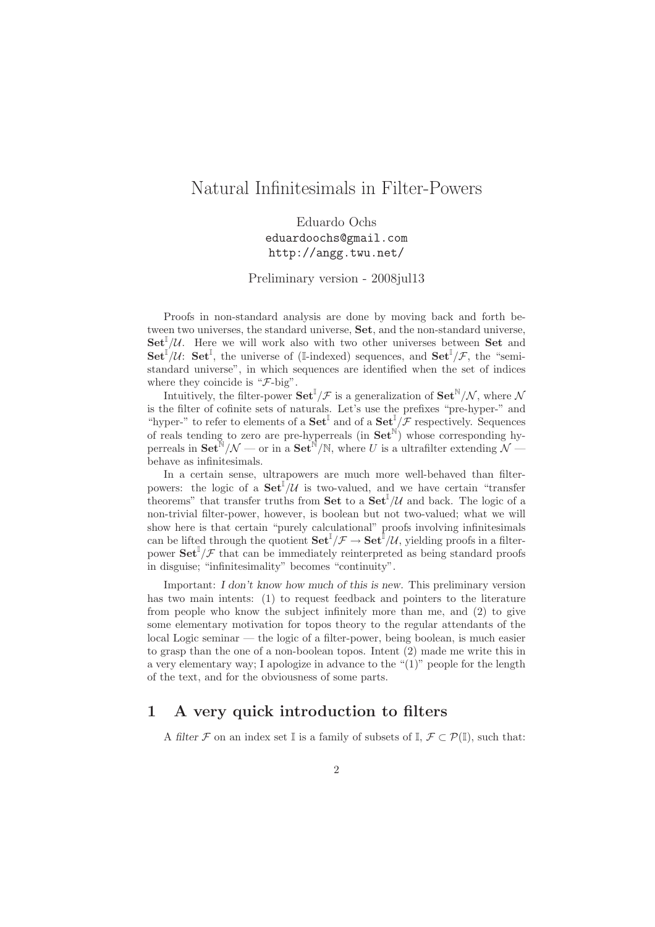# Natural Infinitesimals in Filter-Powers

Eduardo Ochs eduardoochs@gmail.com http://angg.twu.net/

Preliminary version - 2008jul13

Proofs in non-standard analysis are done by moving back and forth between two universes, the standard universe, Set, and the non-standard universe,  $\mathbf{Set}^{\mathbb{I}}/\mathcal{U}$ . Here we will work also with two other universes between Set and  $\mathbf{Set}^{\mathbb{I}}/\mathcal{U}$ :  $\mathbf{Set}^{\mathbb{I}}$ , the universe of (I-indexed) sequences, and  $\mathbf{Set}^{\mathbb{I}}/\mathcal{F}$ , the "semistandard universe", in which sequences are identified when the set of indices where they coincide is " $\mathcal{F}\text{-big}$ ".

Intuitively, the filter-power  $\mathbf{Set}^{\mathbb{I}}/\mathcal{F}$  is a generalization of  $\mathbf{Set}^{\mathbb{N}}/\mathcal{N}$ , where  $\mathcal{N}$ is the filter of cofinite sets of naturals. Let's use the prefixes "pre-hyper-" and "hyper-" to refer to elements of a  $\textbf{Set}^{\mathbb{I}}$  and of a  $\textbf{Set}^{\mathbb{I}}/\mathcal{F}$  respectively. Sequences of reals tending to zero are pre-hyperreals (in  $\mathbf{Set}^{\mathbb{N}}$ ) whose corresponding hyperreals in  $\textbf{Set}^{\mathbb{N}}/\mathcal{N}$  — or in a  $\textbf{Set}^{\mathbb{N}}/\mathbb{N}$ , where U is a ultrafilter extending  $\mathcal{N}$  behave as infinitesimals.

In a certain sense, ultrapowers are much more well-behaved than filterpowers: the logic of a  $\text{Set}^{\mathbb{I}}/\mathcal{U}$  is two-valued, and we have certain "transfer theorems" that transfer truths from **Set** to a  $\text{Set}^{\mathbb{I}}/\mathcal{U}$  and back. The logic of a non-trivial filter-power, however, is boolean but not two-valued; what we will show here is that certain "purely calculational" proofs involving infinitesimals can be lifted through the quotient  $\mathbf{Set}^{\mathbb{I}}/\mathcal{F} \to \mathbf{Set}^{\mathbb{I}}/\mathcal{U}$ , yielding proofs in a filterpower  $\textbf{Set}^{\mathbb{I}}/\mathcal{F}$  that can be immediately reinterpreted as being standard proofs in disguise; "infinitesimality" becomes "continuity".

Important: I don't know how much of this is new. This preliminary version has two main intents: (1) to request feedback and pointers to the literature from people who know the subject infinitely more than me, and (2) to give some elementary motivation for topos theory to the regular attendants of the local Logic seminar — the logic of a filter-power, being boolean, is much easier to grasp than the one of a non-boolean topos. Intent (2) made me write this in a very elementary way; I apologize in advance to the "(1)" people for the length of the text, and for the obviousness of some parts.

# 1 A very quick introduction to filters

A filter F on an index set I is a family of subsets of I,  $\mathcal{F} \subset \mathcal{P}(\mathbb{I})$ , such that: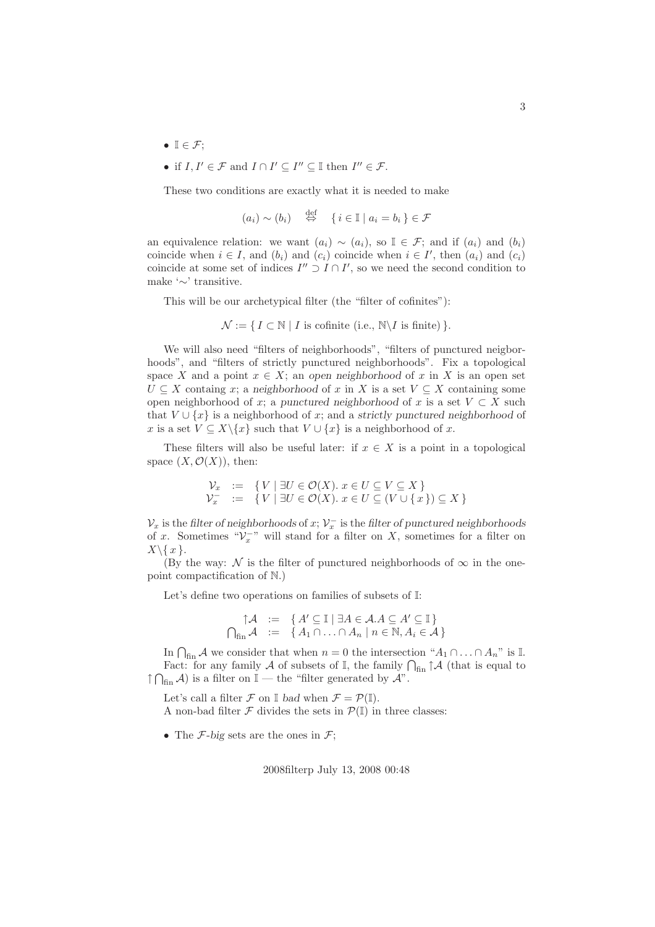- $\mathbb{I} \in \mathcal{F}$ :
- if  $I, I' \in \mathcal{F}$  and  $I \cap I' \subseteq I'' \subseteq \mathbb{I}$  then  $I'' \in \mathcal{F}$ .

These two conditions are exactly what it is needed to make

$$
(a_i) \sim (b_i) \quad \stackrel{\text{def}}{\Leftrightarrow} \quad \{ i \in \mathbb{I} \mid a_i = b_i \} \in \mathcal{F}
$$

an equivalence relation: we want  $(a_i) \sim (a_i)$ , so  $\mathbb{I} \in \mathcal{F}$ ; and if  $(a_i)$  and  $(b_i)$ coincide when  $i \in I$ , and  $(b_i)$  and  $(c_i)$  coincide when  $i \in I'$ , then  $(a_i)$  and  $(c_i)$ coincide at some set of indices  $I'' \supset I \cap I'$ , so we need the second condition to make '∼' transitive.

This will be our archetypical filter (the "filter of cofinites"):

$$
\mathcal{N} := \{ I \subset \mathbb{N} \mid I \text{ is cofinite (i.e., } \mathbb{N} \backslash I \text{ is finite}) \}.
$$

We will also need "filters of neighborhoods", "filters of punctured neigborhoods", and "filters of strictly punctured neighborhoods". Fix a topological space X and a point  $x \in X$ ; an open neighborhood of x in X is an open set  $U \subseteq X$  containg x; a neighborhood of x in X is a set  $V \subseteq X$  containing some open neighborhood of x; a punctured neighborhood of x is a set  $V \subset X$  such that  $V \cup \{x\}$  is a neighborhood of x; and a strictly punctured neighborhood of x is a set  $V \subseteq X \setminus \{x\}$  such that  $V \cup \{x\}$  is a neighborhood of x.

These filters will also be useful later: if  $x \in X$  is a point in a topological space  $(X, \mathcal{O}(X))$ , then:

$$
\begin{array}{rcl}\n\mathcal{V}_x &:= & \{ V \mid \exists U \in \mathcal{O}(X) . x \in U \subseteq V \subseteq X \} \\
\mathcal{V}_x^- &:= & \{ V \mid \exists U \in \mathcal{O}(X) . x \in U \subseteq (V \cup \{ x \} ) \subseteq X \}\n\end{array}
$$

 $\mathcal{V}_x$  is the filter of neighborhoods of  $x;$   $\mathcal{V}^-_x$  is the filter of punctured neighborhoods of x. Sometimes " $V_x^{\text{--}}$ " will stand for a filter on X, sometimes for a filter on  $X\backslash\{x\}.$ 

(By the way: N is the filter of punctured neighborhoods of  $\infty$  in the onepoint compactification of N.)

Let's define two operations on families of subsets of I:

$$
\uparrow \mathcal{A} := \{ A' \subseteq \mathbb{I} \mid \exists A \in \mathcal{A} \land A \subseteq A' \subseteq \mathbb{I} \}
$$
  

$$
\bigcap_{\text{fin}} \mathcal{A} := \{ A_1 \cap \dots \cap A_n \mid n \in \mathbb{N}, A_i \in \mathcal{A} \}
$$

In  $\bigcap_{fin} A$  we consider that when  $n = 0$  the intersection " $A_1 \cap ... \cap A_n$ " is I. Fact: for any family A of subsets of  $\mathbb{I}$ , the family  $\bigcap_{\text{fin}} \uparrow \mathcal{A}$  (that is equal to  $\uparrow \bigcap_{\text{fin}} A$ ) is a filter on  $\mathbb{I}$  — the "filter generated by  $A$ ".

Let's call a filter  $\mathcal F$  on  $\mathbb I$  bad when  $\mathcal F = \mathcal P(\mathbb I)$ . A non-bad filter  $\mathcal F$  divides the sets in  $\mathcal P(\mathbb{I})$  in three classes:

• The  $\mathcal{F}\text{-big sets}$  are the ones in  $\mathcal{F}$ ;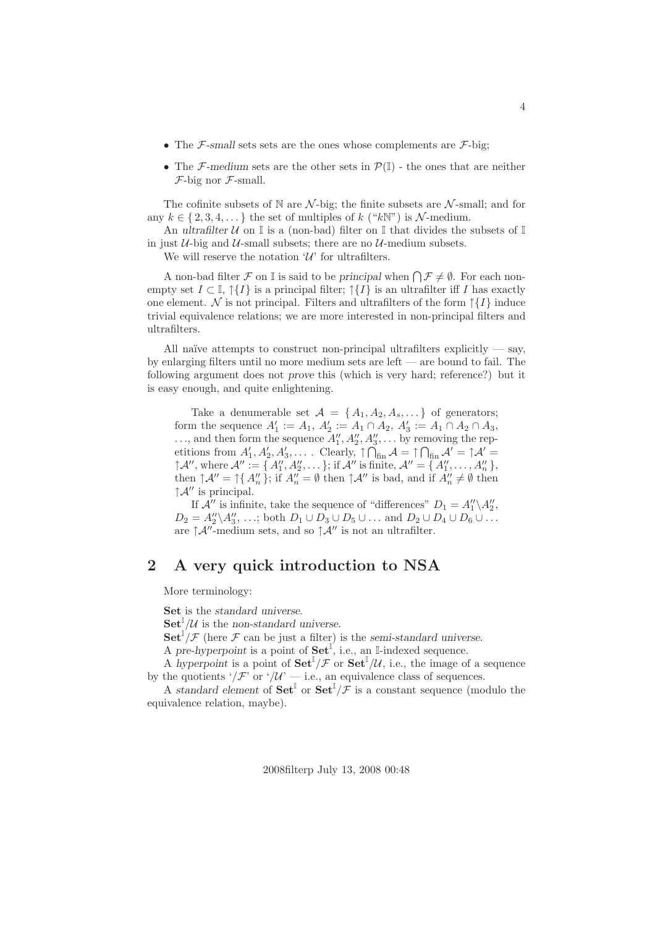- The  $\mathcal{F}\text{-small sets sets are the ones whose complements are }\mathcal{F}\text{-big};$
- The F-medium sets are the other sets in  $\mathcal{P}(\mathbb{I})$  the ones that are neither  $F$ -big nor  $F$ -small.

The cofinite subsets of N are  $\mathcal{N}$ -big; the finite subsets are  $\mathcal{N}$ -small; and for any  $k \in \{2, 3, 4, \dots\}$  the set of multiples of k ("kN") is N-medium.

An ultrafilter  $U$  on  $\mathbb I$  is a (non-bad) filter on  $\mathbb I$  that divides the subsets of  $\mathbb I$ in just  $U$ -big and  $U$ -small subsets; there are no  $U$ -medium subsets.

We will reserve the notation  $\mathcal{U}'$  for ultrafilters.

A non-bad filter  $\mathcal F$  on I is said to be principal when  $\bigcap \mathcal F \neq \emptyset$ . For each nonempty set  $I \subset \mathbb{I}$ ,  $\uparrow \{I\}$  is a principal filter;  $\uparrow \{I\}$  is an ultrafilter iff I has exactly one element. N is not principal. Filters and ultrafilters of the form  $\uparrow \{I\}$  induce trivial equivalence relations; we are more interested in non-principal filters and ultrafilters.

All naïve attempts to construct non-principal ultrafilters explicitly  $-$  say, by enlarging filters until no more medium sets are left — are bound to fail. The following argument does not prove this (which is very hard; reference?) but it is easy enough, and quite enlightening.

Take a denumerable set  $A = \{A_1, A_2, A_s, \dots\}$  of generators; form the sequence  $A'_1 := A_1, A'_2 := A_1 \cap A_2, A'_3 := A_1 \cap A_2 \cap A_3,$  $\ldots$ , and then form the sequence  $A''_1, A''_2, A''_3, \ldots$  by removing the repetitions from  $A'_1, A'_2, A'_3, \ldots$ . Clearly,  $\uparrow \bigcap_{fin} A = \uparrow \bigcap_{fin} A' = \uparrow A'$  $\uparrow \mathcal{A}'',$  where  $\mathcal{A}'' := \{ A''_1, A''_2, \dots \};$  if  $\mathcal{A}''$  is finite,  $\mathcal{A}'' = \{ A''_1, \dots, A''_n \}$ , then  $\uparrow \mathcal{A}'' = \uparrow \{ A''_n \};$  if  $A''_n = \emptyset$  then  $\uparrow \mathcal{A}''$  is bad, and if  $A''_n \neq \emptyset$  then  $\uparrow \mathcal{A}''$  is principal.

If  $\mathcal{A}''$  is infinite, take the sequence of "differences"  $D_1 = A''_1 \backslash A''_2$ ,  $D_2 = A_2'' \setminus A_3'', \ldots;$  both  $D_1 \cup D_3 \cup D_5 \cup \ldots$  and  $D_2 \cup D_4 \cup D_6 \cup \ldots$ are  $\uparrow \mathcal{A}''$ -medium sets, and so  $\uparrow \mathcal{A}''$  is not an ultrafilter.

# 2 A very quick introduction to NSA

More terminology:

Set is the standard universe.

 $\mathbf{Set}^{\mathbb{I}}/\mathcal{U}$  is the non-standard universe.

 $\mathbf{Set}^{\mathbb{I}}/\mathcal{F}$  (here  $\mathcal F$  can be just a filter) is the semi-standard universe.

A pre-hyperpoint is a point of  $\mathbf{Set}^{\mathbb{I}}$ , i.e., an I-indexed sequence.

A hyperpoint is a point of  $\mathbf{Set}^{\mathbb{I}}/\mathcal{F}$  or  $\mathbf{Set}^{\mathbb{I}}/\mathcal{U}$ , i.e., the image of a sequence by the quotients '/ $\mathcal{F}'$  or '/ $\mathcal{U}'$  — i.e., an equivalence class of sequences.

A standard element of  $\textbf{Set}^{\mathbb{I}}$  or  $\textbf{Set}^{\mathbb{I}}/\mathcal{F}$  is a constant sequence (modulo the equivalence relation, maybe).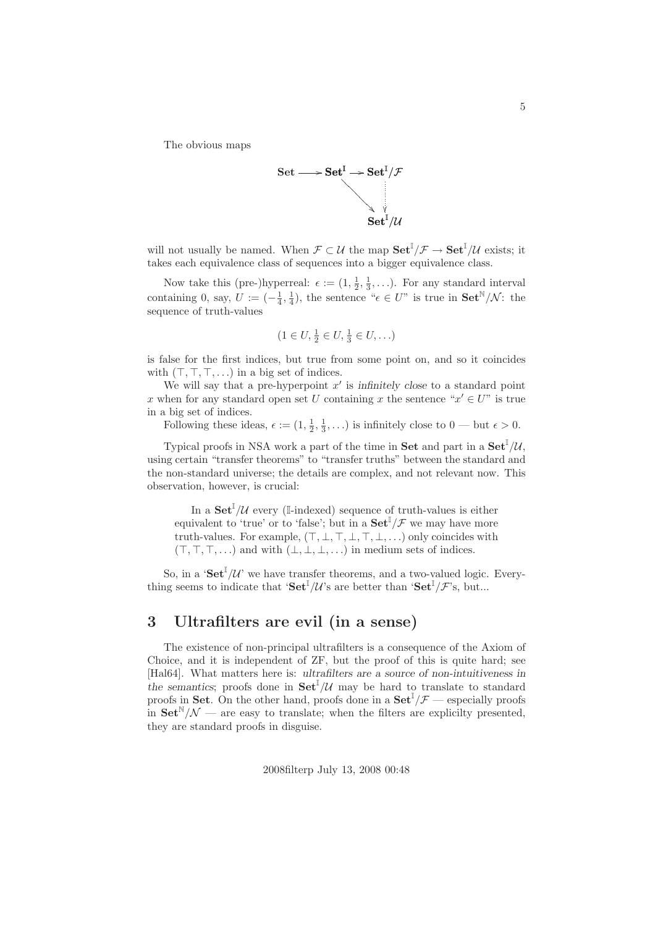The obvious maps



will not usually be named. When  $\mathcal{F} \subset \mathcal{U}$  the map  $\mathbf{Set}^{\mathbb{I}}/\mathcal{F} \to \mathbf{Set}^{\mathbb{I}}/\mathcal{U}$  exists; it takes each equivalence class of sequences into a bigger equivalence class.

Now take this (pre-)hyperreal:  $\epsilon := (1, \frac{1}{2}, \frac{1}{3}, \ldots)$ . For any standard interval containing 0, say,  $U := \left(-\frac{1}{4}, \frac{1}{4}\right)$ , the sentence " $\epsilon \in U$ " is true in  $\mathbf{Set}^{\mathbb{N}}/\mathcal{N}$ : the sequence of truth-values

$$
(1 \in U, \frac{1}{2} \in U, \frac{1}{3} \in U, \ldots)
$$

is false for the first indices, but true from some point on, and so it coincides with  $(\top, \top, \top, \ldots)$  in a big set of indices.

We will say that a pre-hyperpoint  $x'$  is infinitely close to a standard point x when for any standard open set U containing x the sentence " $x' \in U$ " is true in a big set of indices.

Following these ideas,  $\epsilon := (1, \frac{1}{2}, \frac{1}{3}, \ldots)$  is infinitely close to  $0$  — but  $\epsilon > 0$ .

Typical proofs in NSA work a part of the time in **Set** and part in a  $\textbf{Set}^{\mathbb{I}}/\mathcal{U}$ , using certain "transfer theorems" to "transfer truths" between the standard and the non-standard universe; the details are complex, and not relevant now. This observation, however, is crucial:

In a  $\mathbf{Set}^{\mathbb{I}}/\mathcal{U}$  every (I-indexed) sequence of truth-values is either equivalent to 'true' or to 'false'; but in a  $\mathbf{Set}^{\mathbb{I}}/\mathcal{F}$  we may have more truth-values. For example,  $(T, \bot, T, \bot, T, \bot, ...)$  only coincides with  $(T, T, T, \ldots)$  and with  $(\perp, \perp, \perp, \ldots)$  in medium sets of indices.

So, in a ' $\text{Set}^{\mathbb{I}}/\mathcal{U}$ ' we have transfer theorems, and a two-valued logic. Everything seems to indicate that ' $\mathbf{Set}^{\mathbb{I}}/\mathcal{U}$ 's are better than ' $\mathbf{Set}^{\mathbb{I}}/\mathcal{F}$ 's, but...

# 3 Ultrafilters are evil (in a sense)

The existence of non-principal ultrafilters is a consequence of the Axiom of Choice, and it is independent of ZF, but the proof of this is quite hard; see [Hal64]. What matters here is: ultrafilters are a source of non-intuitiveness in the semantics; proofs done in  $\mathbf{Set}^{\mathbb{I}}/\mathcal{U}$  may be hard to translate to standard proofs in Set. On the other hand, proofs done in a  $\textbf{Set}^{\mathbb{I}}/\mathcal{F}$  — especially proofs in  $\text{Set}^{\mathbb{N}}/\mathcal{N}$  — are easy to translate; when the filters are explicitly presented, they are standard proofs in disguise.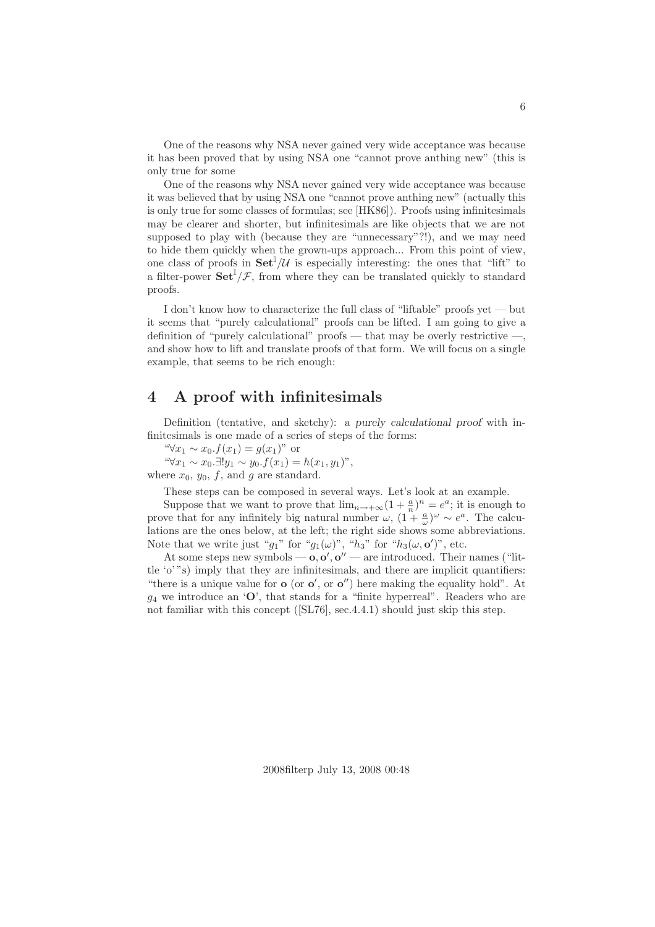One of the reasons why NSA never gained very wide acceptance was because it has been proved that by using NSA one "cannot prove anthing new" (this is only true for some

One of the reasons why NSA never gained very wide acceptance was because it was believed that by using NSA one "cannot prove anthing new" (actually this is only true for some classes of formulas; see [HK86]). Proofs using infinitesimals may be clearer and shorter, but infinitesimals are like objects that we are not supposed to play with (because they are "unnecessary"?!), and we may need to hide them quickly when the grown-ups approach... From this point of view, one class of proofs in  $\textbf{Set}^{\mathbb{I}}/\mathcal{U}$  is especially interesting: the ones that "lift" to a filter-power  $\textbf{Set}^{\mathbb{I}}/\mathcal{F}$ , from where they can be translated quickly to standard proofs.

I don't know how to characterize the full class of "liftable" proofs yet — but it seems that "purely calculational" proofs can be lifted. I am going to give a definition of "purely calculational" proofs — that may be overly restrictive —, and show how to lift and translate proofs of that form. We will focus on a single example, that seems to be rich enough:

## 4 A proof with infinitesimals

Definition (tentative, and sketchy): a purely calculational proof with infinitesimals is one made of a series of steps of the forms:

"∀ $x_1 \sim x_0.f(x_1) = g(x_1)$ " or

" $\forall x_1 \sim x_0. \exists! y_1 \sim y_0. f(x_1) = h(x_1, y_1)$ ", where  $x_0$ ,  $y_0$ ,  $f$ , and  $g$  are standard.

These steps can be composed in several ways. Let's look at an example.

Suppose that we want to prove that  $\lim_{n\to+\infty} (1 + \frac{a}{n})^n = e^a$ ; it is enough to prove that for any infinitely big natural number  $\omega$ ,  $(1 + \frac{a}{\omega})^{\omega} \sim e^a$ . The calculations are the ones below, at the left; the right side shows some abbreviations. Note that we write just " $g_1$ " for " $g_1(\omega)$ ", " $h_3$ " for " $h_3(\omega, \mathbf{o}')$ ", etc.

At some steps new symbols  $-\mathbf{o}, \mathbf{o}', \mathbf{o}''$  — are introduced. Their names ("little 'o' "s) imply that they are infinitesimals, and there are implicit quantifiers: "there is a unique value for  $\mathbf{o}$  (or  $\mathbf{o}'$ , or  $\mathbf{o}''$ ) here making the equality hold". At  $q_4$  we introduce an 'O', that stands for a "finite hyperreal". Readers who are not familiar with this concept ([SL76], sec.4.4.1) should just skip this step.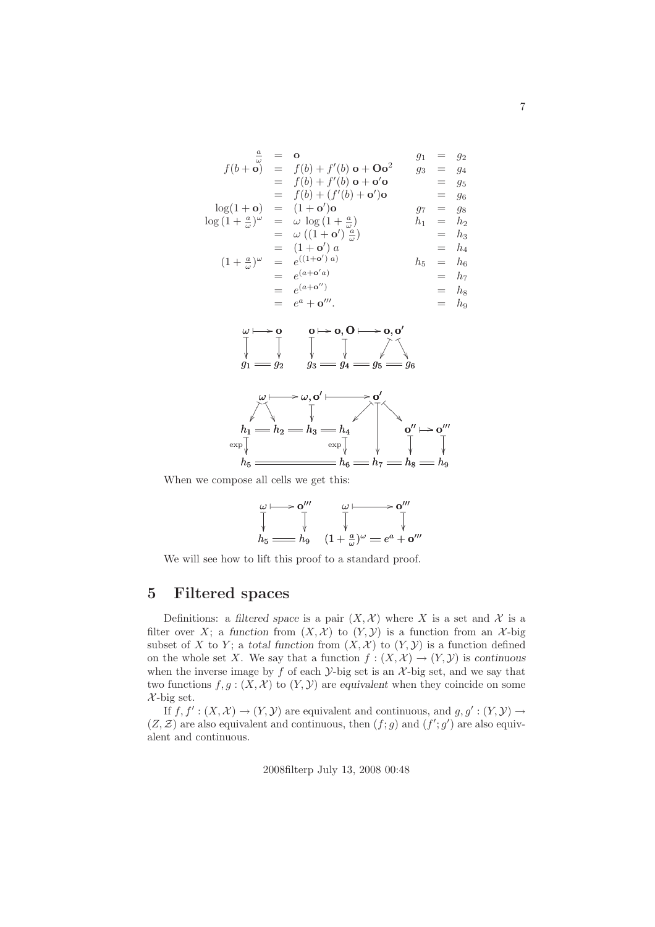$$
\frac{a}{\omega} = \mathbf{o}
$$
\n
$$
f(b + \mathbf{o}) = f(b) + f'(b) \mathbf{o} + \mathbf{O}\mathbf{o}^2
$$
\n
$$
= f(b) + f'(b) \mathbf{o} + \mathbf{o}'\mathbf{o}
$$
\n
$$
= f(b) + (f'(b) + \mathbf{o}')\mathbf{o}
$$
\n
$$
= f(b) + (f'(b) + \mathbf{o}')\mathbf{o}
$$
\n
$$
= f(b) + (f'(b) + \mathbf{o}')\mathbf{o}
$$
\n
$$
= g_5
$$
\n
$$
\log(1 + \mathbf{o}) = (1 + \mathbf{o}')\mathbf{o}
$$
\n
$$
= (1 + \mathbf{o}')\mathbf{o}
$$
\n
$$
= g_6
$$
\n
$$
\log(1 + \frac{a}{\omega})^{\omega} = \omega \log(1 + \frac{a}{\omega})
$$
\n
$$
= g_7 = g_8
$$
\n
$$
= g_8 = g_8
$$
\n
$$
= g_9 = g_9
$$
\n
$$
= g_9 = g_9
$$
\n
$$
= g_9 = g_9
$$
\n
$$
= g_9 = g_9
$$
\n
$$
= g_9 = g_9
$$
\n
$$
= g_9 = g_9
$$
\n
$$
= h_1 = h_2
$$
\n
$$
= h_3 = h_4
$$
\n
$$
= e^{(1 + \mathbf{o}')}
$$
\n
$$
= h_4 = h_5
$$
\n
$$
= h_7 = h_8
$$
\n
$$
= e^a + \mathbf{o}'''.
$$





When we compose all cells we get this:

$$
\begin{array}{ccc}\n\omega \longmapsto \mathbf{o}'''\n\end{array}\n\qquad\n\begin{array}{ccc}\n\omega \longmapsto \mathbf{o}'''\n\end{array}\n\qquad\n\begin{array}{ccc}\n\overline{\downarrow} & \rightarrow & \mathbf{o}'''\n\end{array}\n\qquad\n\begin{array}{ccc}\n\overline{\downarrow} & \downarrow & \downarrow \\
\overline{\downarrow} & \downarrow & \downarrow \\
(1 + \frac{a}{\omega})^{\omega} = e^a + \mathbf{o}'''\n\end{array}
$$

We will see how to lift this proof to a standard proof.

## 5 Filtered spaces

Definitions: a filtered space is a pair  $(X, \mathcal{X})$  where X is a set and X is a filter over X; a function from  $(X, \mathcal{X})$  to  $(Y, \mathcal{Y})$  is a function from an X-big subset of X to Y; a total function from  $(X, \mathcal{X})$  to  $(Y, \mathcal{Y})$  is a function defined on the whole set X. We say that a function  $f : (X, \mathcal{X}) \to (Y, \mathcal{Y})$  is continuous when the inverse image by  $f$  of each  $\mathcal{Y}$ -big set is an  $\mathcal{X}$ -big set, and we say that two functions  $f, g: (X, \mathcal{X})$  to  $(Y, \mathcal{Y})$  are equivalent when they coincide on some  $\mathcal{X}$ -big set.

If  $f, f' : (X, \mathcal{X}) \to (Y, \mathcal{Y})$  are equivalent and continuous, and  $g, g' : (Y, \mathcal{Y}) \to$  $(Z, \mathcal{Z})$  are also equivalent and continuous, then  $(f; g)$  and  $(f'; g')$  are also equivalent and continuous.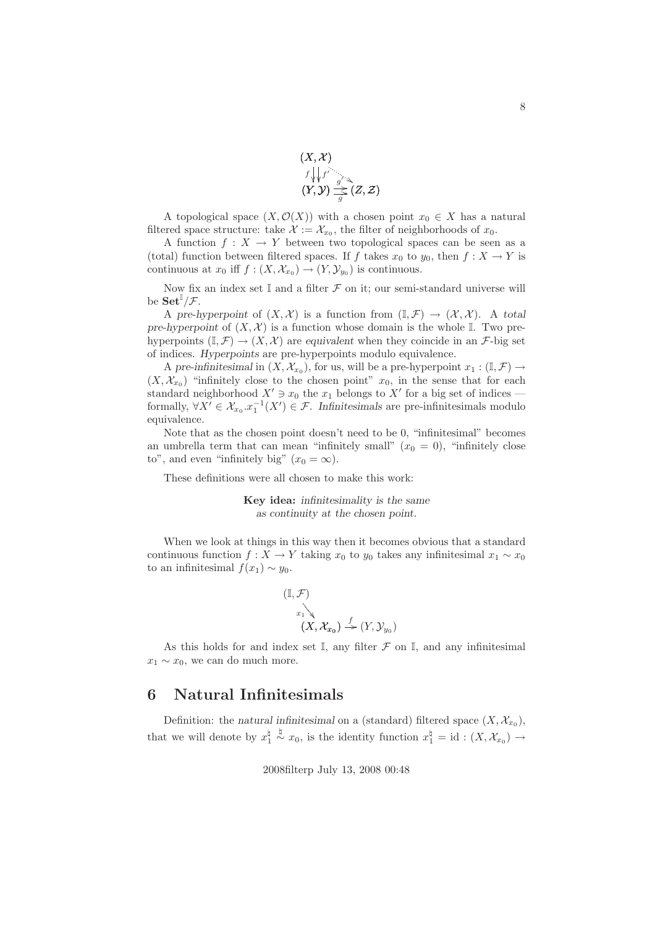

A topological space  $(X, \mathcal{O}(X))$  with a chosen point  $x_0 \in X$  has a natural filtered space structure: take  $\mathcal{X} := \mathcal{X}_{x_0}$ , the filter of neighborhoods of  $x_0$ .

A function  $f: X \to Y$  between two topological spaces can be seen as a (total) function between filtered spaces. If f takes  $x_0$  to  $y_0$ , then  $f : X \to Y$  is continuous at  $x_0$  iff  $f : (X, \mathcal{X}_{x_0}) \to (Y, \mathcal{Y}_{y_0})$  is continuous.

Now fix an index set  $\mathbb I$  and a filter  $\mathcal F$  on it; our semi-standard universe will be  $\mathbf{Set}^{\mathbb{I}}/\mathcal{F}.$ 

A pre-hyperpoint of  $(X, \mathcal{X})$  is a function from  $(\mathbb{I}, \mathcal{F}) \to (\mathcal{X}, \mathcal{X})$ . A total pre-hyperpoint of  $(X, \mathcal{X})$  is a function whose domain is the whole I. Two prehyperpoints  $(I, \mathcal{F}) \to (X, \mathcal{X})$  are equivalent when they coincide in an  $\mathcal{F}$ -big set of indices. Hyperpoints are pre-hyperpoints modulo equivalence.

A pre-infinitesimal in  $(X, \mathcal{X}_{x_0})$ , for us, will be a pre-hyperpoint  $x_1 : (\mathbb{I}, \mathcal{F}) \to$  $(X, \mathcal{X}_{x_0})$  "infinitely close to the chosen point"  $x_0$ , in the sense that for each standard neighborhood  $X' \ni x_0$  the  $x_1$  belongs to  $X'$  for a big set of indices formally,  $\forall X' \in \mathcal{X}_{x_0}$   $x_1^{-1}(X') \in \mathcal{F}$ . Infinitesimals are pre-infinitesimals modulo equivalence.

Note that as the chosen point doesn't need to be 0, "infinitesimal" becomes an umbrella term that can mean "infinitely small"  $(x_0 = 0)$ , "infinitely close to", and even "infinitely big"  $(x_0 = \infty)$ .

These definitions were all chosen to make this work:

Key idea: infinitesimality is the same as continuity at the chosen point.

When we look at things in this way then it becomes obvious that a standard continuous function  $f : X \to Y$  taking  $x_0$  to  $y_0$  takes any infinitesimal  $x_1 \sim x_0$ to an infinitesimal  $f(x_1) \sim y_0$ .

$$
\begin{array}{c}\n(\mathbb{I}, \mathcal{F}) \\
\downarrow \\
\downarrow \\
(X, \mathcal{X}_{x_0}) \xrightarrow{f} (Y, \mathcal{Y}_{y_0})\n\end{array}
$$

As this holds for and index set  $\mathbb{I}$ , any filter  $\mathcal F$  on  $\mathbb{I}$ , and any infinitesimal  $x_1 \sim x_0$ , we can do much more.

# 6 Natural Infinitesimals

Definition: the natural infinitesimal on a (standard) filtered space  $(X, \mathcal{X}_{x_0})$ , that we will denote by  $x_1^{\sharp}$  $\stackrel{\natural}{\sim} x_0$ , is the identity function  $x_1^{\sharp} = id : (X, \mathcal{X}_{x_0}) \rightarrow$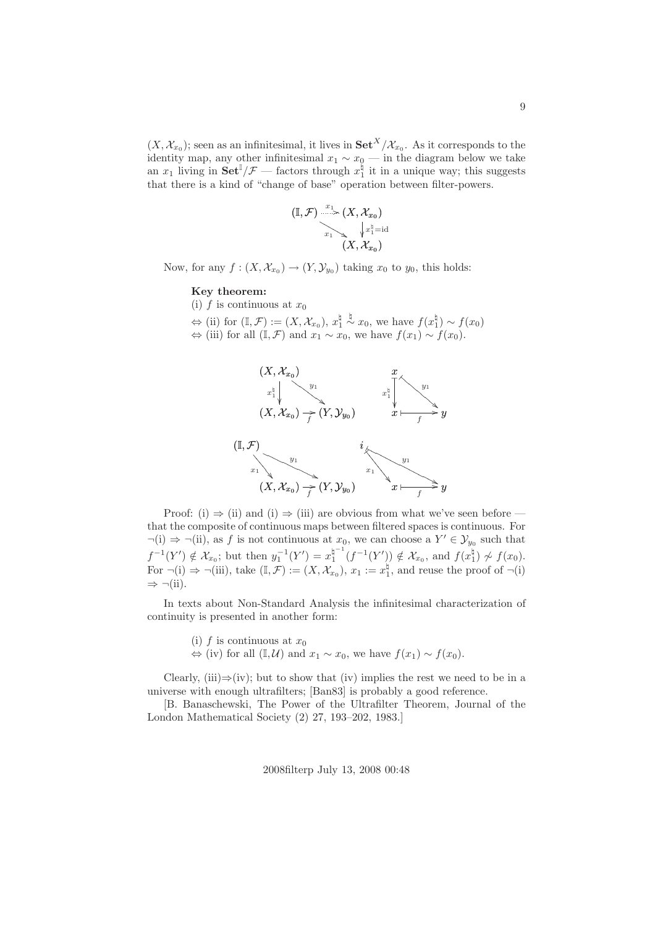$(X, \mathcal{X}_{x_0})$ ; seen as an infinitesimal, it lives in  $\mathbf{Set}^X/\mathcal{X}_{x_0}$ . As it corresponds to the identity map, any other infinitesimal  $x_1 \sim x_0$  — in the diagram below we take an  $x_1$  living in  $\textbf{Set}^{\mathbb{I}}/\mathcal{F}$  — factors through  $x_1^{\mathbb{I}}$  it in a unique way; this suggests that there is a kind of "change of base" operation between filter-powers.

$$
\mathbb{(I,\mathcal{F})} \xrightarrow[\begin{matrix} x_1\\ \ldots\\ \vdots\\ x_1\\ \vdots\\ (X,\mathcal{X}_{x_0})\end{matrix}} \hspace{-0.2cm} (X, \mathcal{X}_{x_0})
$$

Now, for any  $f: (X, \mathcal{X}_{x_0}) \to (Y, \mathcal{Y}_{y_0})$  taking  $x_0$  to  $y_0$ , this holds:

#### Key theorem:

- (i) f is continuous at  $x_0$
- $\Leftrightarrow$  (ii) for  $(\mathbb{I}, \mathcal{F}) := (X, \mathcal{X}_{x_0}), x_1^{\sharp}$  $\stackrel{\natural}{\sim}$   $x_0$ , we have  $f(x_1^{\natural}) \sim f(x_0)$
- $\Leftrightarrow$  (iii) for all  $(\mathbb{I}, \mathcal{F})$  and  $x_1 \sim x_0$ , we have  $f(x_1) \sim f(x_0)$ .



Proof: (i)  $\Rightarrow$  (ii) and (i)  $\Rightarrow$  (iii) are obvious from what we've seen before that the composite of continuous maps between filtered spaces is continuous. For  $\neg(i) \Rightarrow \neg(ii)$ , as f is not continuous at  $x_0$ , we can choose a  $Y' \in \mathcal{Y}_{y_0}$  such that  $f^{-1}(Y') \notin \mathcal{X}_{x_0}$ ; but then  $y_1^{-1}(Y') = x_1^{\natural^{-1}}$  $f_1^{\mathfrak{p}^{-1}}(f^{-1}(Y')) \notin \mathcal{X}_{x_0}$ , and  $f(x_1^{\mathfrak{h}}) \not\sim f(x_0)$ . For  $\neg(i) \Rightarrow \neg(iii)$ , take  $(\mathbb{I}, \mathcal{F}) := (X, \mathcal{X}_{x_0}), x_1 := x_1^{\natural}$ , and reuse the proof of  $\neg(i)$  $\Rightarrow \neg (ii)$ .

In texts about Non-Standard Analysis the infinitesimal characterization of continuity is presented in another form:

- (i) f is continuous at  $x_0$
- $\Leftrightarrow$  (iv) for all  $(\mathbb{I}, \mathcal{U})$  and  $x_1 \sim x_0$ , we have  $f(x_1) \sim f(x_0)$ .

Clearly, (iii) $\Rightarrow$ (iv); but to show that (iv) implies the rest we need to be in a universe with enough ultrafilters; [Ban83] is probably a good reference.

[B. Banaschewski, The Power of the Ultrafilter Theorem, Journal of the London Mathematical Society (2) 27, 193–202, 1983.]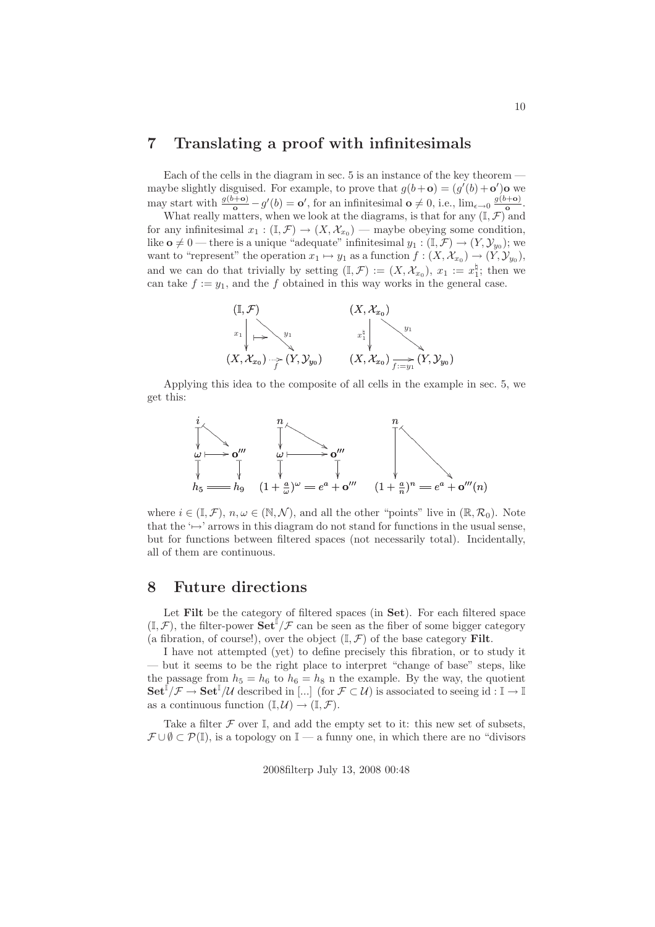# 7 Translating a proof with infinitesimals

Each of the cells in the diagram in sec. 5 is an instance of the key theorem maybe slightly disguised. For example, to prove that  $g(b+\mathbf{o}) = (g'(b)+\mathbf{o}')\mathbf{o}$  we may start with  $\frac{g(b+\mathbf{o})}{\mathbf{o}} - g'(b) = \mathbf{o}'$ , for an infinitesimal  $\mathbf{o} \neq 0$ , i.e.,  $\lim_{\epsilon \to 0} \frac{g(b+\mathbf{o})}{\mathbf{o}}$ .

What really matters, when we look at the diagrams, is that for any  $(\mathbb{I}, \mathcal{F})$  and for any infinitesimal  $x_1 : (\mathbb{I}, \mathcal{F}) \to (X, \mathcal{X}_{x_0})$  — maybe obeying some condition, like  $\mathbf{o} \neq 0$  — there is a unique "adequate" infinitesimal  $y_1 : (\mathbb{I}, \mathcal{F}) \to (Y, \mathcal{Y}_{y_0})$ ; we want to "represent" the operation  $x_1 \mapsto y_1$  as a function  $f : (X, \mathcal{X}_{x_0}) \to (Y, \mathcal{Y}_{y_0}),$ and we can do that trivially by setting  $(I, \mathcal{F}) := (X, \mathcal{X}_{x_0}), x_1 := x_1^{\natural}$ ; then we can take  $f := y_1$ , and the f obtained in this way works in the general case.



Applying this idea to the composite of all cells in the example in sec. 5, we get this:



where  $i \in (\mathbb{I}, \mathcal{F}), n, \omega \in (\mathbb{N}, \mathcal{N})$ , and all the other "points" live in  $(\mathbb{R}, \mathcal{R}_0)$ . Note that the  $\leftrightarrow$ ' arrows in this diagram do not stand for functions in the usual sense, but for functions between filtered spaces (not necessarily total). Incidentally, all of them are continuous.

### 8 Future directions

Let Filt be the category of filtered spaces (in Set). For each filtered space  $(\mathbb{I}, \mathcal{F})$ , the filter-power  $\mathbf{Set}^{\mathbb{I}}/\mathcal{F}$  can be seen as the fiber of some bigger category (a fibration, of course!), over the object  $(\mathbb{I}, \mathcal{F})$  of the base category Filt.

I have not attempted (yet) to define precisely this fibration, or to study it — but it seems to be the right place to interpret "change of base" steps, like the passage from  $h_5 = h_6$  to  $h_6 = h_8$  n the example. By the way, the quotient  $\mathbf{Set}^{\mathbb{I}}/\mathcal{F} \to \mathbf{Set}^{\mathbb{I}}/\mathcal{U}$  described in [...] (for  $\mathcal{F} \subset \mathcal{U}$ ) is associated to seeing id :  $\mathbb{I} \to \mathbb{I}$ as a continuous function  $(\mathbb{I}, \mathcal{U}) \to (\mathbb{I}, \mathcal{F})$ .

Take a filter  $\mathcal F$  over  $\mathbb I$ , and add the empty set to it: this new set of subsets,  $\mathcal{F} \cup \emptyset \subset \mathcal{P}(\mathbb{I})$ , is a topology on  $\mathbb{I}-a$  funny one, in which there are no "divisors"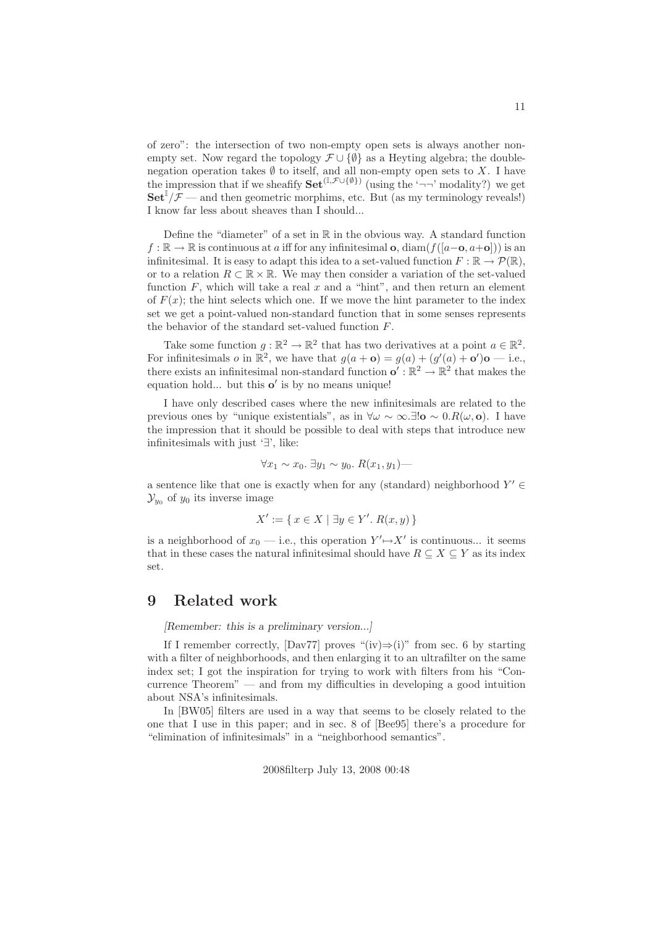of zero": the intersection of two non-empty open sets is always another nonempty set. Now regard the topology  $\mathcal{F} \cup \{\emptyset\}$  as a Heyting algebra; the doublenegation operation takes  $\emptyset$  to itself, and all non-empty open sets to X. I have the impression that if we sheafify  $\mathbf{Set}^{(\mathbb{I},\mathcal{F}\cup\{\emptyset\})}$  (using the '¬¬' modality?) we get  $\textbf{Set}^{\mathbb{I}}/\mathcal{F}$  — and then geometric morphims, etc. But (as my terminology reveals!) I know far less about sheaves than I should...

Define the "diameter" of a set in  $\mathbb R$  in the obvious way. A standard function  $f : \mathbb{R} \to \mathbb{R}$  is continuous at a iff for any infinitesimal **o**, diam( $f([a-\mathbf{o}, a+\mathbf{o}]))$ ) is an infinitesimal. It is easy to adapt this idea to a set-valued function  $F : \mathbb{R} \to \mathcal{P}(\mathbb{R})$ , or to a relation  $R \subset \mathbb{R} \times \mathbb{R}$ . We may then consider a variation of the set-valued function  $F$ , which will take a real  $x$  and a "hint", and then return an element of  $F(x)$ ; the hint selects which one. If we move the hint parameter to the index set we get a point-valued non-standard function that in some senses represents the behavior of the standard set-valued function F.

Take some function  $g : \mathbb{R}^2 \to \mathbb{R}^2$  that has two derivatives at a point  $a \in \mathbb{R}^2$ . For infinitesimals *o* in  $\mathbb{R}^2$ , we have that  $g(a + \mathbf{o}) = g(a) + (g'(a) + \mathbf{o}')\mathbf{o} - i.e.,$ there exists an infinitesimal non-standard function  $\mathbf{o}' : \mathbb{R}^2 \to \mathbb{R}^2$  that makes the equation hold... but this o' is by no means unique!

I have only described cases where the new infinitesimals are related to the previous ones by "unique existentials", as in  $\forall \omega \sim \infty$ .∃!**o** ~ 0. $R(\omega, \mathbf{o})$ . I have the impression that it should be possible to deal with steps that introduce new infinitesimals with just '∃', like:

$$
\forall x_1 \sim x_0. \ \exists y_1 \sim y_0. \ R(x_1, y_1) -
$$

a sentence like that one is exactly when for any (standard) neighborhood  $Y' \in$  $\mathcal{Y}_{y_0}$  of  $y_0$  its inverse image

$$
X' := \{ x \in X \mid \exists y \in Y'. R(x, y) \}
$$

is a neighborhood of  $x_0$  — i.e., this operation  $Y' \rightarrow X'$  is continuous... it seems that in these cases the natural infinitesimal should have  $R \subseteq X \subseteq Y$  as its index set.

# 9 Related work

[Remember: this is a preliminary version...]

If I remember correctly, [Dav77] proves "(iv) $\Rightarrow$ (i)" from sec. 6 by starting with a filter of neighborhoods, and then enlarging it to an ultrafilter on the same index set; I got the inspiration for trying to work with filters from his "Concurrence Theorem" — and from my difficulties in developing a good intuition about NSA's infinitesimals.

In [BW05] filters are used in a way that seems to be closely related to the one that I use in this paper; and in sec. 8 of [Bee95] there's a procedure for "elimination of infinitesimals" in a "neighborhood semantics".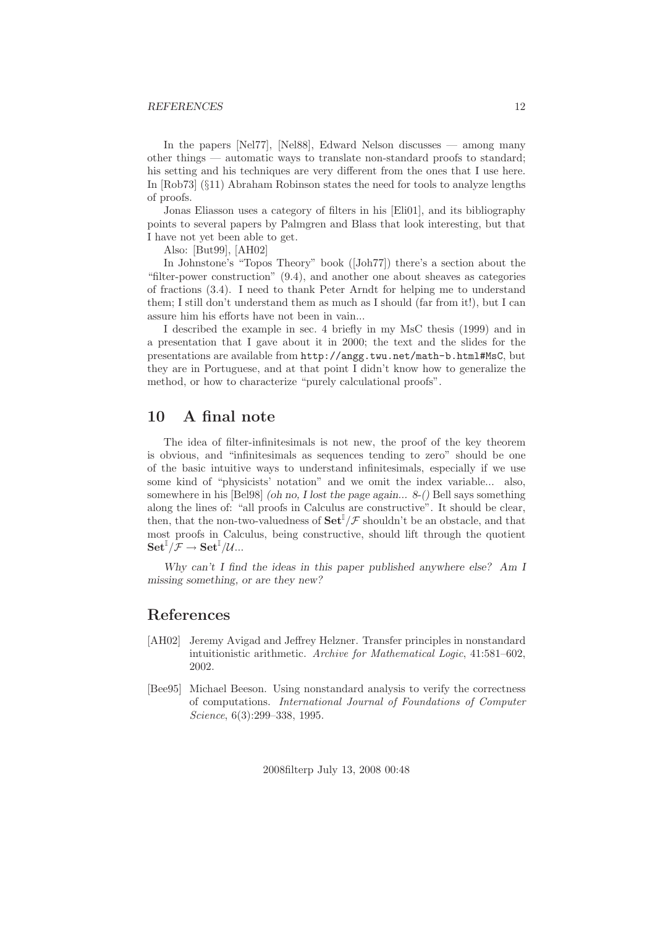### REFERENCES 12

In the papers [Nel77], [Nel88], Edward Nelson discusses — among many other things — automatic ways to translate non-standard proofs to standard; his setting and his techniques are very different from the ones that I use here. In [Rob73] (§11) Abraham Robinson states the need for tools to analyze lengths of proofs.

Jonas Eliasson uses a category of filters in his [Eli01], and its bibliography points to several papers by Palmgren and Blass that look interesting, but that I have not yet been able to get.

Also: [But99], [AH02]

In Johnstone's "Topos Theory" book ([Joh77]) there's a section about the "filter-power construction" (9.4), and another one about sheaves as categories of fractions (3.4). I need to thank Peter Arndt for helping me to understand them; I still don't understand them as much as I should (far from it!), but I can assure him his efforts have not been in vain...

I described the example in sec. 4 briefly in my MsC thesis (1999) and in a presentation that I gave about it in 2000; the text and the slides for the presentations are available from http://angg.twu.net/math-b.html#MsC, but they are in Portuguese, and at that point I didn't know how to generalize the method, or how to characterize "purely calculational proofs".

# 10 A final note

The idea of filter-infinitesimals is not new, the proof of the key theorem is obvious, and "infinitesimals as sequences tending to zero" should be one of the basic intuitive ways to understand infinitesimals, especially if we use some kind of "physicists' notation" and we omit the index variable... also, somewhere in his [Bel98] (oh no, I lost the page again...  $8-($ ) Bell says something along the lines of: "all proofs in Calculus are constructive". It should be clear, then, that the non-two-valuedness of  $\mathbf{Set}^{\mathbb{I}}/\mathcal{F}$  shouldn't be an obstacle, and that most proofs in Calculus, being constructive, should lift through the quotient  $\operatorname{\bf Set}^{\mathbb{I}}/\mathcal{F} \to \operatorname{\bf Set}^{\mathbb{I}}/{\mathcal{U}}...$ 

Why can't I find the ideas in this paper published anywhere else? Am I missing something, or are they new?

### References

- [AH02] Jeremy Avigad and Jeffrey Helzner. Transfer principles in nonstandard intuitionistic arithmetic. Archive for Mathematical Logic, 41:581–602, 2002.
- [Bee95] Michael Beeson. Using nonstandard analysis to verify the correctness of computations. International Journal of Foundations of Computer Science, 6(3):299–338, 1995.